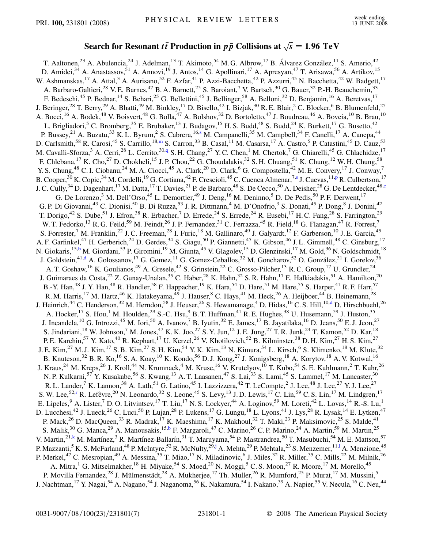## Search for Resonant  $t\bar{t}$  Production in  $p\bar{p}$  Collisions at  $\sqrt{s} = 1.96 \text{ TeV}$

<span id="page-0-8"></span><span id="page-0-7"></span><span id="page-0-6"></span><span id="page-0-5"></span><span id="page-0-4"></span><span id="page-0-3"></span><span id="page-0-2"></span><span id="page-0-1"></span><span id="page-0-0"></span>T. Aaltonen,<sup>23</sup> A. Abulencia,<sup>24</sup> J. Adelman,<sup>13</sup> T. Akimoto,<sup>54</sup> M. G. Albrow,<sup>17</sup> B. Álvarez González,<sup>11</sup> S. Amerio,<sup>42</sup> D. Amidei,<sup>34</sup> A. Anastassov,<sup>51</sup> A. Annovi,<sup>19</sup> J. Antos,<sup>14</sup> G. Apollinari,<sup>17</sup> A. Apresyan,<sup>47</sup> T. Arisawa,<sup>56</sup> A. Artikov,<sup>15</sup> W. Ashmanskas,<sup>17</sup> A. Attal,<sup>3</sup> A. Aurisano,<sup>52</sup> F. Azfar,<sup>41</sup> P. Azzi-Bacchetta,<sup>42</sup> P. Azzurri,<sup>45</sup> N. Bacchetta,<sup>42</sup> W. Badgett,<sup>17</sup> A. Barbaro-Galtieri,<sup>28</sup> V. E. Barnes,<sup>47</sup> B. A. Barnett,<sup>25</sup> S. Baroiant,<sup>7</sup> V. Bartsch,<sup>30</sup> G. Bauer,<sup>32</sup> P.-H. Beauchemin,<sup>33</sup> F. Bedeschi,<sup>45</sup> P. Bednar,<sup>14</sup> S. Behari,<sup>25</sup> G. Bellettini,<sup>45</sup> J. Bellinger,<sup>58</sup> A. Belloni,<sup>32</sup> D. Benjamin,<sup>16</sup> A. Beretvas,<sup>17</sup> J. Beringer,<sup>28</sup> T. Berry,<sup>29</sup> A. Bhatti,<sup>49</sup> M. Binkley,<sup>17</sup> D. Bisello,<sup>42</sup> I. Bizjak,<sup>30</sup> R. E. Blair,<sup>2</sup> C. Blocker,<sup>6</sup> B. Blumenfeld,<sup>25</sup> A. Bocci,<sup>16</sup> A. Bodek,<sup>48</sup> V. Boisvert,<sup>48</sup> G. Bolla,<sup>47</sup> A. Bolshov,<sup>32</sup> D. Bortoletto,<sup>47</sup> J. Boudreau,<sup>46</sup> A. Boveia,<sup>10</sup> B. Brau,<sup>10</sup> L. Brigliadori,<sup>5</sup> C. Bromberg,<sup>35</sup> E. Brubaker,<sup>13</sup> J. Budagov,<sup>15</sup> H. S. Budd,<sup>48</sup> S. Budd,<sup>24</sup> K. Burkett,<sup>17</sup> G. Busetto,<sup>42</sup> P. Bussey,<sup>21</sup> A. Buzatu,<sup>33</sup> K. L. Byrum,<sup>2</sup> S. Cabrera, <sup>16[,s](#page-6-0)</sup> M. Campanelli,<sup>35</sup> M. Campbell,<sup>34</sup> F. Canelli, <sup>17</sup> A. Canepa,<sup>44</sup> D. Carlsmith,<sup>58</sup> R. Carosi,<sup>45</sup> S. Carrillo,<sup>18[,m](#page-6-1)</sup> S. Carron,<sup>33</sup> B. Casal,<sup>11</sup> M. Casarsa,<sup>17</sup> A. Castro,<sup>5</sup> P. Catastini,<sup>45</sup> D. Cauz,<sup>53</sup> M. Cavalli-Sforza,<sup>3</sup> A. Cerri,<sup>28</sup> L. Cerrito,<sup>30[,q](#page-6-2)</sup> S. H. Chang,<sup>27</sup> Y. C. Chen,<sup>1</sup> M. Chertok,<sup>7</sup> G. Chiarelli,<sup>45</sup> G. Chlachidze,<sup>17</sup> F. Chlebana,<sup>17</sup> K. Cho,<sup>27</sup> D. Chokheli,<sup>15</sup> J. P. Chou,<sup>22</sup> G. Choudalakis,<sup>32</sup> S. H. Chuang,<sup>51</sup> K. Chung,<sup>12</sup> W. H. Chung,<sup>58</sup> Y. S. Chung,<sup>48</sup> C. I. Ciobanu,<sup>24</sup> M. A. Ciocci,<sup>45</sup> A. Clark,<sup>20</sup> D. Clark,<sup>6</sup> G. Compostella,<sup>42</sup> M. E. Convery,<sup>17</sup> J. Conway,<sup>7</sup> B. Cooper,<[s](#page-6-0)up>30</sup> K. Copic,<sup>34</sup> M. Cordelli,<sup>19</sup> G. Cortiana,<sup>42</sup> F. Crescioli,<sup>45</sup> C. Cuenca Almenar,<sup>7,s</sup> J. Cuevas,<sup>11[,p](#page-6-3)</sup> R. Culbertson,<sup>17</sup> J. C. Cully,<sup>34</sup> D. Dagenhart,<sup>17</sup> M. Datta,<sup>17</sup> T. Davies,<sup>21</sup> P. de Barbaro,<sup>48</sup> S. De Cecco,<sup>50</sup> A. Deisher,<sup>28</sup> G. De Lentdecker,<sup>48[,e](#page-6-4)</sup> G. De Lorenzo,<sup>3</sup> M. Dell'Orso,<sup>45</sup> L. Demortier,<sup>49</sup> J. Deng,<sup>16</sup> M. Deninno,<sup>5</sup> D. De Pedis,<sup>50</sup> P. F. Derwent,<sup>17</sup> G. P. Di Giovanni,<sup>43</sup> C. Dionisi,<sup>50</sup> B. Di Ruzza,<sup>53</sup> J. R. Dittmann,<sup>4</sup> M. D'Onofrio,<sup>3</sup> S. Donati,<sup>45</sup> P. Dong,<sup>8</sup> J. Donini,<sup>42</sup> T. Dorigo,<sup>42</sup> S. Dube,<sup>51</sup> J. Efron,<sup>38</sup> R. Erbacher,<sup>7</sup> D. Errede,<sup>24</sup> S. Errede,<sup>24</sup> R. Eusebi,<sup>17</sup> H. C. Fang,<sup>28</sup> S. Farrington,<sup>29</sup> W. T. Fedorko,<sup>13</sup> R. G. Feild,<sup>59</sup> M. Feindt,<sup>26</sup> J. P. Fernandez,<sup>31</sup> C. Ferrazza,<sup>45</sup> R. Field,<sup>18</sup> G. Flanagan,<sup>47</sup> R. Forrest,<sup>7</sup> S. Forrester,<sup>7</sup> M. Franklin,<sup>22</sup> J. C. Freeman,<sup>28</sup> I. Furic,<sup>18</sup> M. Gallinaro,<sup>49</sup> J. Galyardt,<sup>12</sup> F. Garberson,<sup>10</sup> J. E. Garcia,<sup>45</sup> A. F. Garfinkel,<sup>47</sup> H. Gerberich,<sup>24</sup> D. Gerdes,<sup>34</sup> S. Giagu,<sup>50</sup> P. Giannetti,<sup>45</sup> K. Gibson,<sup>46</sup> J. L. Gimmell,<sup>48</sup> C. Ginsburg,<sup>17</sup> N. Giokaris,<sup>15,[b](#page-6-5)</sup> M. Giordani,<sup>53</sup> P. Giromini,<sup>19</sup> M. Giunta,<sup>45</sup> V. Glagolev,<sup>15</sup> D. Glenzinski,<sup>17</sup> M. Gold,<sup>36</sup> N. Goldschmidt,<sup>18</sup> J. Goldstein,<sup>41[,d](#page-6-6)</sup> A. Golossanov,<sup>17</sup> G. Gomez,<sup>11</sup> G. Gomez-Ceballos,<sup>32</sup> M. Goncharov,<sup>52</sup> O. González,<sup>31</sup> I. Gorelov,<sup>36</sup> A. T. Goshaw, <sup>16</sup> K. Goulianos, <sup>49</sup> A. Gresele, <sup>42</sup> S. Grinstein, <sup>22</sup> C. Grosso-Pilcher, <sup>13</sup> R. C. Group, <sup>17</sup> U. Grundler, <sup>24</sup> J. Guimaraes da Costa,<sup>22</sup> Z. Gunay-Unalan,<sup>35</sup> C. Haber,<sup>28</sup> K. Hahn,<sup>32</sup> S. R. Hahn,<sup>17</sup> E. Halkiadakis,<sup>51</sup> A. Hamilton,<sup>20</sup> B.-Y. Han,<sup>48</sup> J. Y. Han,<sup>48</sup> R. Handler,<sup>58</sup> F. Happacher,<sup>19</sup> K. Hara,<sup>54</sup> D. Hare,<sup>51</sup> M. Hare,<sup>55</sup> S. Harper,<sup>41</sup> R. F. Harr,<sup>57</sup> R. M. Harris,<sup>17</sup> M. Hartz,<sup>46</sup> K. Hatakeyama,<sup>49</sup> J. Hauser,<sup>8</sup> C. Hays,<sup>41</sup> M. Heck,<sup>26</sup> A. Heijboer,<sup>44</sup> B. Heinemann,<sup>28</sup> J. Heinrich,<sup>44</sup> C. Henderson,<sup>32</sup> M. Herndon,<sup>58</sup> J. Heuser,<sup>26</sup> S. Hewamanage,<sup>4</sup> D. Hidas,<sup>16</sup> C. S. Hill,<sup>10[,d](#page-6-6)</sup> D. Hirschbuehl,<sup>26</sup> A. Hocker,<sup>17</sup> S. Hou,<sup>1</sup> M. Houlden,<sup>29</sup> S.-C. Hsu,<sup>9</sup> B. T. Huffman,<sup>41</sup> R. E. Hughes,<sup>38</sup> U. Husemann,<sup>59</sup> J. Huston,<sup>35</sup> J. Incandela,  $^{10}$  G. Introzzi,  $^{45}$  M. Iori,  $^{50}$  A. Ivanov,  $^{7}$  B. Iyutin,  $^{32}$  E. James,  $^{17}$  B. Jayatilaka,  $^{16}$  D. Jeans,  $^{50}$  E. J. Jeon,  $^{27}$ S. Jindariani,<sup>18</sup> W. Johnson,<sup>7</sup> M. Jones,<sup>47</sup> K. K. Joo,<sup>27</sup> S. Y. Jun,<sup>12</sup> J. E. Jung,<sup>27</sup> T. R. Junk,<sup>24</sup> T. Kamon,<sup>52</sup> D. Kar,<sup>18</sup> P. E. Karchin,<sup>57</sup> Y. Kato,<sup>40</sup> R. Kephart,<sup>17</sup> U. Kerzel,<sup>26</sup> V. Khotilovich,<sup>52</sup> B. Kilminster,<sup>38</sup> D. H. Kim,<sup>27</sup> H. S. Kim,<sup>27</sup> J. E. Kim,<sup>27</sup> M. J. Kim,<sup>17</sup> S. B. Kim,<sup>27</sup> S. H. Kim,<sup>54</sup> Y. K. Kim,<sup>13</sup> N. Kimura,<sup>54</sup> L. Kirsch,<sup>6</sup> S. Klimenko,<sup>18</sup> M. Klute,<sup>32</sup> B. Knuteson,<sup>32</sup> B. R. Ko,<sup>16</sup> S. A. Koay,<sup>10</sup> K. Kondo,<sup>56</sup> D. J. Kong,<sup>27</sup> J. Konigsberg,<sup>18</sup> A. Korytov,<sup>18</sup> A. V. Kotwal,<sup>16</sup> J. Kraus,<sup>24</sup> M. Kreps,<sup>26</sup> J. Kroll,<sup>44</sup> N. Krumnack,<sup>4</sup> M. Kruse,<sup>16</sup> V. Krutelyov,<sup>10</sup> T. Kubo,<sup>54</sup> S. E. Kuhlmann,<sup>2</sup> T. Kuhr,<sup>26</sup> N. P. Kulkarni,<sup>57</sup> Y. Kusakabe,<sup>56</sup> S. Kwang,<sup>13</sup> A. T. Laasanen,<sup>47</sup> S. Lai,<sup>33</sup> S. Lami,<sup>45</sup> S. Lammel,<sup>17</sup> M. Lancaster,<sup>30</sup> R. L. Lander,<sup>7</sup> K. Lannon,<sup>38</sup> A. Lath,<sup>51</sup> G. Latino,<sup>45</sup> I. Lazzizzera,<sup>42</sup> T. LeCompte,<sup>2</sup> J. Lee,<sup>48</sup> J. Lee,<sup>27</sup> Y. J. Lee,<sup>27</sup> S. W. Lee,<sup>52[,r](#page-6-7)</sup> R. Lefèvre,<sup>20</sup> N. Leonardo,<sup>32</sup> S. Leone,<sup>45</sup> S. Levy,<sup>13</sup> J.D. Lewis,<sup>17</sup> C. Lin,<sup>59</sup> C. S. Lin,<sup>17</sup> M. Lindgren,<sup>17</sup> E. Lipeles,  $9$  A. Lister,  $7$  D. O. Litvintsev,  $17$  T. Liu,  $17$  N. S. Lockyer,  $44$  A. Loginov,  $59$  M. Loreti,  $42$  L. Lovas,  $14$  R.-S. Lu,  $1$ D. Lucchesi,<sup>42</sup> J. Lueck,<sup>26</sup> C. Luci,<sup>50</sup> P. Lujan,<sup>28</sup> P. Lukens,<sup>17</sup> G. Lungu,<sup>18</sup> L. Lyons,<sup>41</sup> J. Lys,<sup>28</sup> R. Lysak,<sup>14</sup> E. Lytken,<sup>47</sup> P. Mack,<sup>26</sup> D. MacQueen,<sup>33</sup> R. Madrak,<sup>17</sup> K. Maeshima,<sup>17</sup> K. Makhoul,<sup>32</sup> T. Maki,<sup>23</sup> P. Maksimovic,<sup>25</sup> S. Malde,<sup>41</sup> S. Malik,<sup>30</sup> G. Manca,<sup>29</sup> A. Manousakis,<sup>15,[b](#page-6-5)</sup> F. Margaroli,<sup>47</sup> C. Marino,<sup>26</sup> C. P. Marino,<sup>24</sup> A. Martin,<sup>59</sup> M. Martin,<sup>25</sup> V. Martin,<sup>21[,k](#page-6-8)</sup> M. Martínez,<sup>3</sup> R. Martínez-Ballarín,<sup>31</sup> T. Maruyama,<sup>54</sup> P. Mastrandrea,<sup>50</sup> T. Masubuchi,<sup>54</sup> M. E. Mattson,<sup>57</sup> P. Mazzanti,<sup>5</sup> K. S. McFarland,<sup>48</sup> P. McIntyre,<sup>52</sup> R. McNulty,<sup>29,[j](#page-6-9)</sup> A. Mehta,<sup>29</sup> P. Mehta[l](#page-6-10)a,<sup>23</sup> S. Menzemer,<sup>11,1</sup> A. Menzione,<sup>45</sup> P. Merkel,<sup>47</sup> C. Mesropian,<sup>49</sup> A. Messina,<sup>35</sup> T. Miao,<sup>17</sup> N. Miladinovic,<sup>6</sup> J. Miles,<sup>32</sup> R. Miller,<sup>35</sup> C. Mills,<sup>22</sup> M. Milnik,<sup>26</sup> A. Mitra,<sup>1</sup> G. Mitselmakher,<sup>18</sup> H. Miyake,<sup>54</sup> S. Moed,<sup>20</sup> N. Moggi,<sup>5</sup> C. S. Moon,<sup>27</sup> R. Moore,<sup>17</sup> M. Morello,<sup>45</sup> P. Movilla Fernandez,<sup>28</sup> J. Mülmenstädt,<sup>28</sup> A. Mukherjee,<sup>17</sup> Th. Muller,<sup>26</sup> R. Mumford,<sup>25</sup> P. Murat,<sup>17</sup> M. Mussini,<sup>5</sup> J. Nachtman,<sup>17</sup> Y. Nagai,<sup>54</sup> A. Nagano,<sup>54</sup> J. Naganoma,<sup>56</sup> K. Nakamura,<sup>54</sup> I. Nakano,<sup>39</sup> A. Napier,<sup>55</sup> V. Necula,<sup>16</sup> C. Neu,<sup>44</sup>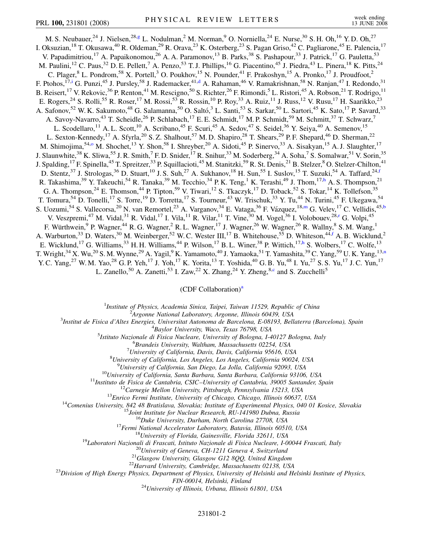<span id="page-1-7"></span><span id="page-1-5"></span><span id="page-1-3"></span>M. S. Neubauer,<sup>24</sup> J. Nielsen,<sup>28,[g](#page-6-11)</sup> L. Nodulman,<sup>2</sup> M. Norman,<sup>9</sup> O. Norniella,<sup>24</sup> E. Nurse,<sup>30</sup> S. H. Oh,<sup>16</sup> Y. D. Oh,<sup>27</sup> I. Oksuzian,<sup>18</sup> T. Okusawa,<sup>40</sup> R. Oldeman,<sup>29</sup> R. Orava,<sup>23</sup> K. Osterberg,<sup>23</sup> S. Pagan Griso,<sup>42</sup> C. Pagliarone,<sup>45</sup> E. Palencia,<sup>17</sup> V. Papadimitriou,<sup>17</sup> A. Papaikonomou,<sup>26</sup> A. A. Paramonov,<sup>13</sup> B. Parks,<sup>38</sup> S. Pashapour,<sup>33</sup> J. Patrick,<sup>17</sup> G. Pauletta,<sup>53</sup> M. Paulini,<sup>12</sup> C. Paus,<sup>32</sup> D. E. Pellett,<sup>7</sup> A. Penzo,<sup>53</sup> T. J. Phillips,<sup>16</sup> G. Piacentino,<sup>45</sup> J. Piedra,<sup>43</sup> L. Pinera,<sup>18</sup> K. Pitts,<sup>24</sup> C. Plager, <sup>8</sup> L. Pondrom, <sup>58</sup> X. Portell, <sup>3</sup> O. Poukhov, <sup>15</sup> N. Pounder, <sup>41</sup> F. Prakoshyn, <sup>15</sup> A. Pronko, <sup>17</sup> J. Proudfoot, <sup>2</sup> F. Ptohos,<sup>17[,i](#page-6-12)</sup> G. Punzi,<sup>45</sup> J. Pursley,<sup>58</sup> J. Ra[d](#page-6-6)emacker,<sup>41,d</sup> A. Rahaman,<sup>46</sup> V. Ramakrishnan,<sup>58</sup> N. Ranjan,<sup>47</sup> I. Redondo,<sup>31</sup> B. Reisert, <sup>17</sup> V. Rekovic, <sup>36</sup> P. Renton, <sup>41</sup> M. Rescigno, <sup>50</sup> S. Richter, <sup>26</sup> F. Rimondi, <sup>5</sup> L. Ristori, <sup>45</sup> A. Robson, <sup>21</sup> T. Rodrigo, <sup>11</sup> E. Rogers,<sup>24</sup> S. Rolli,<sup>55</sup> R. Roser,<sup>17</sup> M. Rossi,<sup>53</sup> R. Rossin,<sup>10</sup> P. Roy,<sup>33</sup> A. Ruiz,<sup>11</sup> J. Russ,<sup>12</sup> V. Rusu,<sup>17</sup> H. Saarikko,<sup>23</sup> A. Safonov,<sup>52</sup> W. K. Sakumoto,<sup>48</sup> G. Salamanna,<sup>50</sup> O. Saltó,<sup>3</sup> L. Santi,<sup>53</sup> S. Sarkar,<sup>50</sup> L. Sartori,<sup>45</sup> K. Sato,<sup>17</sup> P. Savard,<sup>33</sup> A. Savoy-Navarro,<sup>43</sup> T. Scheidle,<sup>26</sup> P. Schlabach,<sup>17</sup> E. E. Schmidt,<sup>17</sup> M. P. Schmidt,<sup>59</sup> M. Schmitt,<sup>37</sup> T. Schwarz,<sup>7</sup> L. Scodellaro,<sup>11</sup> A. L. Scott,<sup>10</sup> A. Scribano,<sup>45</sup> F. Scuri,<sup>45</sup> A. Sedov,<sup>47</sup> S. Seidel,<sup>36</sup> Y. Seiya,<sup>40</sup> A. Semenov,<sup>15</sup> L. Sexton-Kennedy,<sup>17</sup> A. Sfyrla,<sup>20</sup> S. Z. Shalhout,<sup>57</sup> M. D. Shapiro,<sup>28</sup> T. Shears,<sup>29</sup> P. F. Shepard,<sup>46</sup> D. Sherman,<sup>22</sup> M. Shimojima,<sup>54[,o](#page-6-13)</sup> M. Shochet,<sup>13</sup> Y. Shon,<sup>58</sup> I. Shreyber,<sup>20</sup> A. Sidoti,<sup>45</sup> P. Sinervo,<sup>33</sup> A. Sisakyan,<sup>15</sup> A. J. Slaughter,<sup>17</sup> J. Slaunwhite,<sup>38</sup> K. Sliwa,<sup>55</sup> J. R. Smith,<sup>7</sup> F. D. Snider,<sup>17</sup> R. Snihur,<sup>33</sup> M. Soderberg,<sup>34</sup> A. Soha,<sup>7</sup> S. Somalwar,<sup>51</sup> V. Sorin,<sup>35</sup> J. Spalding, <sup>17</sup> F. Spinella, <sup>45</sup> T. Spreitzer, <sup>33</sup> P. Squillacioti, <sup>45</sup> M. Stanitzki, <sup>59</sup> R. St. Denis, <sup>21</sup> B. Stelzer, <sup>8</sup> O. Stelzer-Chilton, <sup>41</sup> D. Stentz,<sup>37</sup> J. Strologas,<sup>36</sup> D. Stuart,<sup>10</sup> J. S. Suh,<sup>27</sup> A. Sukhanov,<sup>18</sup> H. Sun,<sup>55</sup> I. Suslov,<sup>15</sup> T. Suzuki,<sup>54</sup> A. Ta[f](#page-6-14)fard,<sup>24,f</sup> R. Takas[h](#page-6-15)ima,<sup>39</sup> Y. Takeuchi,<sup>54</sup> R. Tanaka,<sup>39</sup> M. Tecchio,<sup>34</sup> P. K. Teng,<sup>1</sup> K. Terashi,<sup>49</sup> J. Thom,<sup>17,h</sup> A. S. Thompson,<sup>21</sup> G. A. Thompson,<sup>24</sup> E. Thomson,<sup>44</sup> P. Tipton,<sup>59</sup> V. Tiwari,<sup>12</sup> S. Tkaczyk,<sup>17</sup> D. Toback,<sup>52</sup> S. Tokar,<sup>14</sup> K. Tollefson,<sup>35</sup> T. Tomura,<sup>54</sup> D. Tonelli,<sup>17</sup> S. Torre,<sup>19</sup> D. Torretta,<sup>17</sup> S. Tourneur,<sup>43</sup> W. Trischuk,<sup>33</sup> Y. Tu,<sup>44</sup> N. Turini,<sup>45</sup> F. Ukegawa,<sup>54</sup> S. Uozumi,<sup>54</sup> S. Vallecorsa,<sup>20</sup> N. van Remortel,<sup>23</sup> A. Varganov,<sup>34</sup> E. Vataga,<sup>36</sup> F. Vázquez,<sup>18[,m](#page-6-1)</sup> G. Velev,<sup>17</sup> C. Vellidis,<sup>45[,b](#page-6-5)</sup> V. Veszpremi,<sup>47</sup> M. Vidal,<sup>31</sup> R. Vidal,<sup>17</sup> I. Vila,<sup>11</sup> R. Vilar,<sup>11</sup> T. Vine,<sup>30</sup> M. Vogel,<sup>36</sup> I. Volobouev,<sup>28[,r](#page-6-7)</sup> G. Volpi,<sup>45</sup> F. Würthwein, <sup>9</sup> P. Wagner, <sup>44</sup> R. G. Wagner, <sup>2</sup> R. L. Wagner, <sup>17</sup> J. Wagner, <sup>26</sup> W. Wagner, <sup>26</sup> R. Wallny, <sup>8</sup> S. M. Wang, <sup>1</sup> A. Warburton,<sup>33</sup> D. Waters,<sup>30</sup> M. Weinberger,<sup>52</sup> W. C. Wester III,<sup>17</sup> B. Whitehouse,<sup>55</sup> D. Whiteson,<sup>44[,f](#page-6-14)</sup> A. B. Wicklund,<sup>2</sup> E. Wicklund,<sup>17</sup> G. Williams,<sup>33</sup> H. H. Williams,<sup>44</sup> P. Wilson,<sup>17</sup> B. L. Winer,<sup>38</sup> P. Wittich,<sup>17[,h](#page-6-15)</sup> S. Wolbers,<sup>17</sup> C. Wolfe,<sup>13</sup> T. Wright,<sup>34</sup> X. Wu,<sup>20</sup> S. M. Wynne,<sup>29</sup> A. Yagil,<sup>9</sup> K. Yamamoto,<sup>40</sup> J. Yamaoka,<sup>51</sup> T. Yamashita,<sup>39</sup> C. Yang,<sup>59</sup> U. K. Yang,<sup>13[,n](#page-6-16)</sup> Y. C. Yang,<sup>27</sup> W. M. Yao,<sup>28</sup> G. P. Yeh,<sup>17</sup> J. Yoh,<sup>17</sup> K. Yorita,<sup>13</sup> T. Yoshida,<sup>40</sup> G. B. Yu,<sup>48</sup> I. Yu,<sup>27</sup> S. S. Yu,<sup>17</sup> J. C. Yun,<sup>17</sup>

<span id="page-1-6"></span><span id="page-1-4"></span><span id="page-1-2"></span>L. Zanello,<sup>50</sup> A. Zanetti,<sup>53</sup> I. Zaw,<sup>22</sup> X. Zhang,<sup>24</sup> Y. Zheng,<sup>8,[c](#page-6-17)</sup> and S. Zucchelli<sup>5</sup>

## (CDF Coll[a](#page-6-18)boration)<sup>a</sup>

<sup>1</sup>*Institute of Physics, Academia Sinica, Taipei, Taiwan 11529, Republic of China*<br><sup>2</sup><sup>2</sup>Arganne National Laboratory, Arganne, Illinois 60430, USA

<span id="page-1-1"></span><span id="page-1-0"></span><sup>2</sup> *Argonne National Laboratory, Argonne, Illinois 60439, USA*<br><sup>3</sup> *Argonne National Laboratory, Argonne, Illinois 60439, USA*<sup>3</sup>

*Institut de Fisica d'Altes Energies, Universitat Autonoma de Barcelona, E-08193, Bellaterra (Barcelona), Spain* <sup>4</sup>

*Baylor University, Waco, Texas 76798, USA* <sup>5</sup>

*Istituto Nazionale di Fisica Nucleare, University of Bologna, I-40127 Bologna, Italy* <sup>6</sup>

*Brandeis University, Waltham, Massachusetts 02254, USA* <sup>7</sup>

*University of California, Davis, Davis, California 95616, USA* <sup>8</sup>

*University of California, Los Angeles, Los Angeles, California 90024, USA* <sup>9</sup>

<sup>9</sup>University of California, San Diego, La Jolla, California 92093, USA<br><sup>10</sup>University of California, Santa Barbara, Santa Barbara, California 93106, USA<br><sup>11</sup>Instituto de Fisica de Cantabria, CSIC-University of Cantabria,

*FIN-00014, Helsinki, Finland* <sup>24</sup>*University of Illinois, Urbana, Illinois 61801, USA*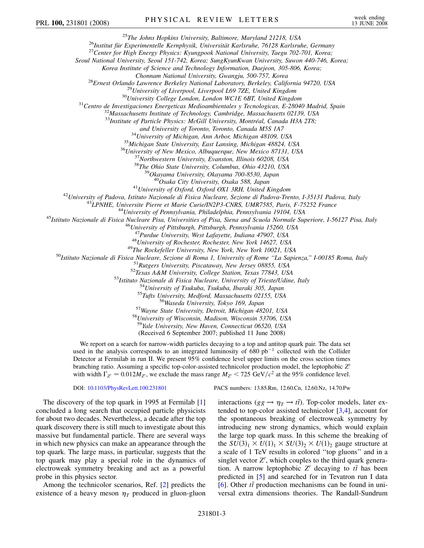<sup>25</sup>The Johns Hopkins University, Baltimore, Maryland 21218, USA<br><sup>26</sup>Institut für Experimentelle Kernphysik, Universität Karlsruhe, 76128 Karlsruhe, Germany<br><sup>27</sup>Center for High Energy Physics: Kyungpook National Universit

*Seoul National University, Seoul 151-742, Korea; SungKyunKwan University, Suwon 440-746, Korea;*

*Korea Institute of Science and Technology Information, Daejeon, 305-806, Korea;*

<sup>28</sup>Ernest Orlando Lawrence Berkeley National Laboratory, Berkeley, California 94720, USA<br><sup>29</sup>University of Liverpool, Liverpool L69 7ZE, United Kingdom<br><sup>30</sup>University College London, London WCIE 6BT, United Kingdom<br><sup>31</sup>C

<sup>33</sup>*Institute of Particle Physics: McGill University, Montréal, Canada H3A 2T8;*<br>and University of Toronto, Toronto, Canada M5S 1A7

<sup>34</sup>University of Michigan, Ann Arbor, Michigan 48109, USA<br><sup>35</sup>Michigan State University, East Lansing, Michigan 48824, USA<br><sup>36</sup>University of New Mexico, Albuquerque, New Mexico 87131, USA<br><sup>37</sup>Northwestern University, Evan

<sup>41</sup>University of Padova, Istituto Nazionale di Fisica Nucleare, Sezione di Padova-Trento, I-35131 Padova, Italy<br><sup>43</sup>Universite Pierre et Marie Curie/IN2P3-CNRS, UMR7585, Paris, F-75252 France<br><sup>43</sup>UPNHE, Universite Pierre

<sup>47</sup>Purdue University, West Lafayette, Indiana 47907, USA<br><sup>48</sup>University of Rochester, Rochester, New York 14627, USA<br><sup>48</sup>University of Rochester, Rochester, New York 14627, USA<br><sup>50</sup>Istituto Nazionale di Fisica Nucleare,

<sup>58</sup>University of Wisconsin, Madison, Wisconsin 53706, USA<br><sup>59</sup>Yale University, New Haven, Connecticut 06520, USA

(Received 6 September 2007; published 11 June 2008)

We report on a search for narrow-width particles decaying to a top and antitop quark pair. The data set used in the analysis corresponds to an integrated luminosity of  $680$  pb<sup>-1</sup> collected with the Collider Detector at Fermilab in run II. We present 95% confidence level upper limits on the cross section times branching ratio. Assuming a specific top-color-assisted technicolor production model, the leptophobic *Z'* with width  $\Gamma_{Z} = 0.012 M_{Z}$ , we exclude the mass range  $M_{Z}$  < 725 GeV/ $c^2$  at the 95% confidence level.

DOI: [10.1103/PhysRevLett.100.231801](http://dx.doi.org/10.1103/PhysRevLett.100.231801) PACS numbers: 13.85.Rm, 12.60.Cn, 12.60.Nz, 14.70.Pw

The discovery of the top quark in 1995 at Fermilab [\[1\]](#page-6-19) concluded a long search that occupied particle physicists for about two decades. Nevertheless, a decade after the top quark discovery there is still much to investigate about this massive but fundamental particle. There are several ways in which new physics can make an appearance through the top quark. The large mass, in particular, suggests that the top quark may play a special role in the dynamics of electroweak symmetry breaking and act as a powerful probe in this physics sector.

Among the technicolor scenarios, Ref. [[2](#page-6-20)] predicts the existence of a heavy meson  $\eta_T$  produced in gluon-gluon

interactions ( $gg \to \eta_T \to t\bar{t}$ ). Top-color models, later extended to top-color assisted technicolor [\[3,](#page-6-21)[4](#page-6-22)], account for the spontaneous breaking of electroweak symmetry by introducing new strong dynamics, which would explain the large top quark mass. In this scheme the breaking of the  $SU(3)_1 \times U(1)_1 \times SU(3)_2 \times U(1)_2$  gauge structure at a scale of 1 TeV results in colored ''top gluons'' and in a singlet vector  $Z'$ , which couples to the third quark generation. A narrow leptophobic  $Z'$  decaying to  $t\bar{t}$  has been predicted in [\[5](#page-6-23)] and searched for in Tevatron run I data  $[6]$ . Other  $t\bar{t}$  production mechanisms can be found in universal extra dimensions theories. The Randall-Sundrum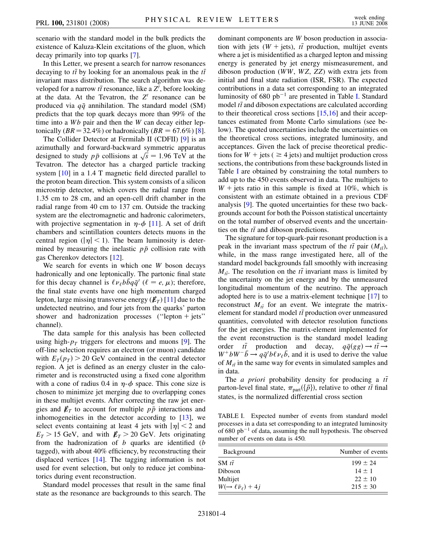scenario with the standard model in the bulk predicts the existence of Kaluza-Klein excitations of the gluon, which decay primarily into top quarks [[7](#page-6-25)].

In this Letter, we present a search for narrow resonances decaying to  $t\bar{t}$  by looking for an anomalous peak in the  $t\bar{t}$ invariant mass distribution. The search algorithm was developed for a narrow  $t\bar{t}$  resonance, like a  $Z'$ , before looking at the data. At the Tevatron, the  $Z'$  resonance can be produced via  $q\bar{q}$  annihilation. The standard model (SM) predicts that the top quark decays more than 99% of the time into a *Wb* pair and then the *W* can decay either leptonically ( $BR = 32.4\%$ ) or hadronically ( $BR = 67.6\%$ ) [[8\]](#page-6-26).

The Collider Detector at Fermilab II (CDFII) [\[9\]](#page-6-27) is an azimuthally and forward-backward symmetric apparatus aziniumally and forward-backward symmetric apparatus designed to study  $p\bar{p}$  collisions at  $\sqrt{s} = 1.96$  TeV at the Tevatron. The detector has a charged particle tracking system [\[10\]](#page-6-28) in a 1.4 T magnetic field directed parallel to the proton beam direction. This system consists of a silicon microstrip detector, which covers the radial range from 1.35 cm to 28 cm, and an open-cell drift chamber in the radial range from 40 cm to 137 cm. Outside the tracking system are the electromagnetic and hadronic calorimeters, with projective segmentation in  $\eta$ - $\phi$  [\[11\]](#page-6-29). A set of drift chambers and scintillation counters detects muons in the central region ( $|\eta|$  < 1). The beam luminosity is determined by measuring the inelastic  $p\bar{p}$  collision rate with gas Cherenkov detectors [\[12\]](#page-6-30).

We search for events in which one *W* boson decays hadronically and one leptonically. The partonic final state for this decay channel is  $\ell \nu_{\ell} b \bar{b} q \bar{q}'$  ( $\ell = e, \mu$ ); therefore, the final state events have one high momentum charged lepton, large missing transverse energy  $(\not{E}_T)$  [\[11\]](#page-6-29) due to the undetected neutrino, and four jets from the quarks' parton shower and hadronization processes ("lepton  $+$  jets" channel).

The data sample for this analysis has been collected using high- $p<sub>T</sub>$  triggers for electrons and muons [\[9\]](#page-6-27). The off-line selection requires an electron (or muon) candidate with  $E_T(p_T) > 20$  GeV contained in the central detector region. A jet is defined as an energy cluster in the calorimeter and is reconstructed using a fixed cone algorithm with a cone of radius 0.4 in  $\eta$ - $\phi$  space. This cone size is chosen to minimize jet merging due to overlapping cones in these multijet events. After correcting the raw jet energies and  $\not\hspace{-.15cm}/\,F_T$  to account for multiple  $p\bar{p}$  interactions and inhomogeneities in the detector according to [[13](#page-6-31)], we select events containing at least 4 jets with  $|\eta| < 2$  and  $E_T$  > 15 GeV, and with  $E_T$  > 20 GeV. Jets originating from the hadronization of *b* quarks are identified (*b* tagged), with about 40% efficiency, by reconstructing their displaced vertices [[14](#page-6-32)]. The tagging information is not used for event selection, but only to reduce jet combinatorics during event reconstruction.

Standard model processes that result in the same final state as the resonance are backgrounds to this search. The dominant components are *W* boson production in association with jets  $(W + \text{jets})$ ,  $t\bar{t}$  production, multijet events where a jet is misidentified as a charged lepton and missing energy is generated by jet energy mismeasurement, and diboson production (*WW*, *WZ*, *ZZ*) with extra jets from initial and final state radiation (ISR, FSR). The expected contributions in a data set corresponding to an integrated luminosity of  $680$   $pb^{-1}$  are presented in Table [I](#page-3-0). Standard model  $t\bar{t}$  and diboson expectations are calculated according to their theoretical cross sections  $[15,16]$  $[15,16]$  $[15,16]$  $[15,16]$  $[15,16]$  and their acceptances estimated from Monte Carlo simulations (see below). The quoted uncertainties include the uncertainties on the theoretical cross sections, integrated luminosity, and acceptances. Given the lack of precise theoretical predictions for  $W$  + jets ( $\geq$  4 jets) and multijet production cross sections, the contributions from these backgrounds listed in Table [I](#page-3-0) are obtained by constraining the total numbers to add up to the 450 events observed in data. The multijets to  $W$  + jets ratio in this sample is fixed at 10%, which is consistent with an estimate obtained in a previous CDF analysis [\[9\]](#page-6-27). The quoted uncertainties for these two backgrounds account for both the Poisson statistical uncertainty on the total number of observed events and the uncertainties on the  $t\bar{t}$  and diboson predictions.

The signature for top-quark-pair resonant production is a peak in the invariant mass spectrum of the  $t\bar{t}$  pair  $(M_{t\bar{t}})$ , while, in the mass range investigated here, all of the standard model backgrounds fall smoothly with increasing  $M_{t\bar{t}}$ . The resolution on the  $t\bar{t}$  invariant mass is limited by the uncertainty on the jet energy and by the unmeasured longitudinal momentum of the neutrino. The approach adopted here is to use a matrix-element technique [[17](#page-6-35)] to reconstruct  $M_{t\bar{t}}$  for an event. We integrate the matrixelement for standard model  $t\bar{t}$  production over unmeasured quantities, convoluted with detector resolution functions for the jet energies. The matrix-element implemented for the event reconstruction is the standard model leading order  $t\bar{t}$  production and decay,  $q\bar{q}(gg) \rightarrow t\bar{t} \rightarrow$  $W^+ b W^- \bar{b} \rightarrow q \bar{q}' b \ell \nu_{\ell} \bar{b}$ , and it is used to derive the value of  $M_{t\bar{t}}$  in the same way for events in simulated samples and in data.

The *a priori* probability density for producing a *tt* parton-level final state,  $\pi_{part}(\{\vec{p}\})$ , relative to other  $t\bar{t}$  final states, is the normalized differential cross section

<span id="page-3-0"></span>TABLE I. Expected number of events from standard model processes in a data set corresponding to an integrated luminosity of 680  $pb^{-1}$  of data, assuming the null hypothesis. The observed number of events on data is 450.

| Background                                | Number of events |
|-------------------------------------------|------------------|
| SM $t\bar{t}$                             | $199 \pm 24$     |
| Diboson                                   | $14 + 1$         |
| Multijet                                  | $22 + 10$        |
| $W(\rightarrow \ell \bar{\nu}_\ell) + 4j$ | $215 \pm 30$     |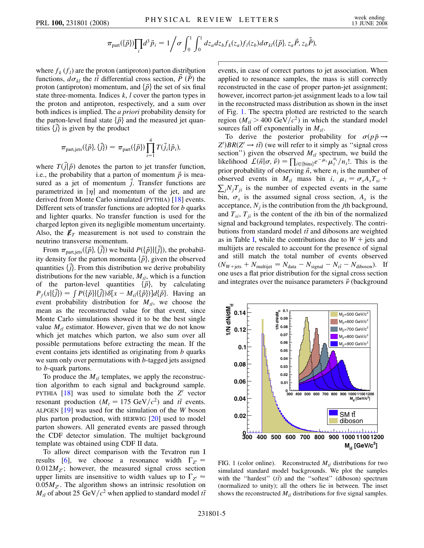$$
\pi_{\text{part}}(\{\vec{p}\})\prod_i d^3\vec{p}_i = 1\bigg/\sigma \int_0^1 \int_0^1 dz_a dz_b f_k(z_a) f_l(z_b) d\sigma_{kl}(\{\vec{p}\}, z_a \vec{P}, z_b \vec{\tilde{P}}),
$$

where  $f_k(f_l)$  are the proton (antiproton) parton distribution functions,  $d\sigma_{kl}$  the *tt*<sup></sup> differential cross section,  $\vec{P}$  ( $\vec{P}$ ) the proton (antiproton) momentum, and  $\{\vec{p}\}\$  the set of six final state three-momenta. Indices *k*, *l* cover the parton types in the proton and antiproton, respectively, and a sum over both indices is implied. The *a priori* probability density for the parton-level final state  $\{\vec{p}\}\$  and the measured jet quantities  $\{\vec{j}\}$  is given by the product

$$
\pi_{\text{part,jets}}(\{\vec{p}\},\{\vec{j}\}) = \pi_{\text{part}}(\{\vec{p}\}) \prod_{i=1}^{4} T(\vec{j}_i|\vec{p}_i),
$$

where  $T(\vec{j}|\vec{p})$  denotes the parton to jet transfer function, i.e., the probability that a parton of momentum  $\vec{p}$  is measured as a jet of momentum  $\vec{j}$ . Transfer functions are parametrized in  $|\eta|$  and momentum of the jet, and are derived from Monte Carlo simulated (PYTHIA) [\[18\]](#page-6-36) events. Different sets of transfer functions are adopted for *b* quarks and lighter quarks. No transfer function is used for the charged lepton given its negligible momentum uncertainty. Also, the  $\not\hspace{-.15cm}/\,_{T}$  measurement is not used to constrain the neutrino transverse momentum.

From  $\pi_{\text{part,jets}}(\{\vec{p}\},\{\vec{j}\})$  we build  $P(\{\vec{p}\}|\{\vec{j}\})$ , the probability density for the parton momenta  $\{\vec{p}\}\text{, given the observed}$ quantities  $\{ \vec{j} \}$ . From this distribution we derive probability distributions for the new variable,  $M_{t\bar{t}}$ , which is a function of the parton-level quantities  $\{\vec{p}\}\$ , by calculating  $P_f(x|\{\vec{j}\}) = \int P(\{\vec{p}\}|\{\vec{j}\}) \delta[x - M_{\vec{i}}(\{\vec{p}\})] d\{\vec{p}\}.$  Having an event probability distribution for  $M_{t\bar{t}}$ , we choose the mean as the reconstructed value for that event, since Monte Carlo simulations showed it to be the best single value  $M_{t\bar{t}}$  estimator. However, given that we do not know which jet matches which parton, we also sum over all possible permutations before extracting the mean. If the event contains jets identified as originating from *b* quarks we sum only over permutations with *b*-tagged jets assigned to *b*-quark partons.

To produce the  $M_{t\bar{t}}$  templates, we apply the reconstruction algorithm to each signal and background sample. PYTHIA  $[18]$  $[18]$  $[18]$  was used to simulate both the  $Z<sup>1</sup>$  vector resonant production ( $M_t = 175 \text{ GeV}/c^2$ ) and  $t\bar{t}$  events. ALPGEN [[19](#page-6-37)] was used for the simulation of the *W* boson plus parton production, with HERWIG [\[20\]](#page-6-38) used to model parton showers. All generated events are passed through the CDF detector simulation. The multijet background template was obtained using CDF II data.

To allow direct comparison with the Tevatron run I results [\[6](#page-6-24)], we choose a resonance width  $\Gamma_{Z}$ <sup>-</sup>  $0.012M_{Z}$ ; however, the measured signal cross section upper limits are insensitive to width values up to  $\Gamma_{Z} \approx$  $0.05M_{Z}$ . The algorithm shows an intrinsic resolution on  $M_{t\bar{t}}$  of about 25 GeV/ $c^2$  when applied to standard model  $t\bar{t}$  events, in case of correct partons to jet association. When applied to resonance samples, the mass is still correctly reconstructed in the case of proper parton-jet assignment; however, incorrect parton-jet assignment leads to a low tail in the reconstructed mass distribution as shown in the inset of Fig. [1.](#page-4-0) The spectra plotted are restricted to the search region ( $M_{t\bar{t}} > 400 \text{ GeV}/c^2$ ) in which the standard model sources fall off exponentially in  $M_{t\bar{t}}$ .

To derive the posterior probability for  $\sigma(p\bar{p} \rightarrow p\bar{p})$  $Z'/BR(Z' \rightarrow t\bar{t})$  (we will refer to it simply as "signal cross") section") given the observed  $M_{t\bar{t}}$  spectrum, we build the likelihood  $\mathcal{L}(\vec{n}|\sigma, \vec{\nu}) = \prod_{i \in \{\text{bins}\}} e^{-\mu_i} \mu_i^{n_i}/n_i!$ . This is the prior probability of observing  $\vec{n}$ , where  $n_i$  is the number of observed events in  $M_{t\bar{t}}$  mass bin *i*,  $\mu_i = \sigma_s A_s T_{si} +$  $\sum_j N_j T_{ji}$  is the number of expected events in the same bin,  $\sigma_s$  is the assumed signal cross section,  $A_s$  is the acceptance,  $N_i$  is the contribution from the *j*th background, and  $T_{si}$ ,  $T_{ii}$  is the content of the *i*th bin of the normalized signal and background templates, respectively. The contributions from standard model  $t\bar{t}$  and dibosons are weighted as in Table [I,](#page-3-0) while the contributions due to  $W + j$ ets and multijets are rescaled to account for the presence of signal and still match the total number of events observed  $(N_{W + \text{jets}} + N_{\text{multijet}} = N_{\text{data}} - N_{\text{signal}} - N_{t\bar{t}} - N_{\text{diboson}}).$  If one uses a flat prior distribution for the signal cross section and integrates over the nuisance parameters  $\vec{\nu}$  (background

<span id="page-4-0"></span>

FIG. 1 (color online). Reconstructed  $M_{t\bar{t}}$  distributions for two simulated standard model backgrounds. We plot the samples with the "hardest"  $(t\bar{t})$  and the "softest" (diboson) spectrum (normalized to unity); all the others lie in between. The inset shows the reconstructed  $M_{t\bar{t}}$  distributions for five signal samples.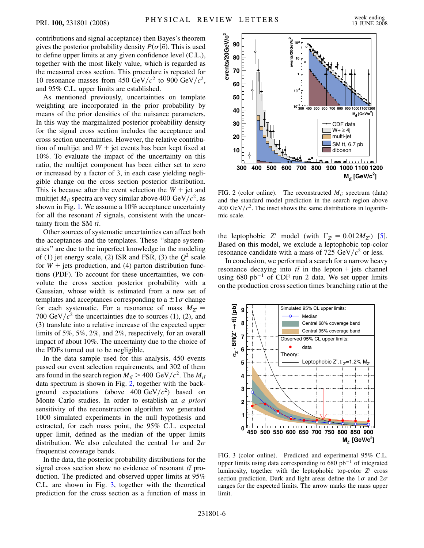contributions and signal acceptance) then Bayes's theorem gives the posterior probability density  $P(\sigma|\vec{n})$ . This is used to define upper limits at any given confidence level (C.L.), together with the most likely value, which is regarded as the measured cross section. This procedure is repeated for 10 resonance masses from 450 GeV/ $c^2$  to 900 GeV/ $c^2$ , and 95% C.L. upper limits are established.

As mentioned previously, uncertainties on template weighting are incorporated in the prior probability by means of the prior densities of the nuisance parameters. In this way the marginalized posterior probability density for the signal cross section includes the acceptance and cross section uncertainties. However, the relative contribution of multijet and  $W +$  jet events has been kept fixed at 10%. To evaluate the impact of the uncertainty on this ratio, the multijet component has been either set to zero or increased by a factor of 3, in each case yielding negligible change on the cross section posterior distribution. This is because after the event selection the  $W +$  jet and multijet  $M_{t\bar{t}}$  spectra are very similar above 400 GeV/ $c^2$ , as shown in Fig. [1.](#page-4-0) We assume a 10% acceptance uncertainty for all the resonant  $t\bar{t}$  signals, consistent with the uncertainty from the SM  $t\bar{t}$ .

Other sources of systematic uncertainties can affect both the acceptances and the templates. These ''shape systematics'' are due to the imperfect knowledge in the modeling of (1) jet energy scale, (2) ISR and FSR, (3) the  $Q^2$  scale for  $W$  + jets production, and (4) parton distribution functions (PDF). To account for these uncertainties, we convolute the cross section posterior probability with a Gaussian, whose width is estimated from a new set of templates and acceptances corresponding to a  $\pm 1\sigma$  change for each systematic. For a resonance of mass  $M_{Z}$ <sup>-</sup> 700 GeV/ $c^2$  the uncertainties due to sources (1), (2), and (3) translate into a relative increase of the expected upper limits of 5%, 5%, 2%, and 2%, respectively, for an overall impact of about 10%. The uncertainty due to the choice of the PDFs turned out to be negligible.

In the data sample used for this analysis, 450 events passed our event selection requirements, and 302 of them are found in the search region  $M_{t\bar{t}} > 400 \text{ GeV}/c^2$ . The  $M_{t\bar{t}}$ data spectrum is shown in Fig. [2,](#page-5-0) together with the background expectations (above  $400 \text{ GeV}/c^2$ ) based on Monte Carlo studies. In order to establish an *a priori* sensitivity of the reconstruction algorithm we generated 1000 simulated experiments in the null hypothesis and extracted, for each mass point, the 95% C.L. expected upper limit, defined as the median of the upper limits distribution. We also calculated the central  $1\sigma$  and  $2\sigma$ frequentist coverage bands.

In the data, the posterior probability distributions for the signal cross section show no evidence of resonant  $t\bar{t}$  production. The predicted and observed upper limits at 95% C.L. are shown in Fig. [3,](#page-5-1) together with the theoretical prediction for the cross section as a function of mass in

<span id="page-5-0"></span>

FIG. 2 (color online). The reconstructed  $M_{t\bar{t}}$  spectrum (data) and the standard model prediction in the search region above 400 GeV/ $c^2$ . The inset shows the same distributions in logarithmic scale.

the leptophobic *Z'* model (with  $\Gamma_{Z} = 0.012 M_{Z}$ ) [[5\]](#page-6-23). Based on this model, we exclude a leptophobic top-color resonance candidate with a mass of 725 GeV $/c^2$  or less.

In conclusion, we performed a search for a narrow heavy resonance decaying into  $t\bar{t}$  in the lepton + jets channel using  $680$  pb<sup>-1</sup> of CDF run 2 data. We set upper limits on the production cross section times branching ratio at the

<span id="page-5-1"></span>

FIG. 3 (color online). Predicted and experimental 95% C.L. upper limits using data corresponding to  $680$  pb<sup>-1</sup> of integrated luminosity, together with the leptophobic top-color  $Z<sup>1</sup>$  cross section prediction. Dark and light areas define the  $1\sigma$  and  $2\sigma$ ranges for the expected limits. The arrow marks the mass upper limit.